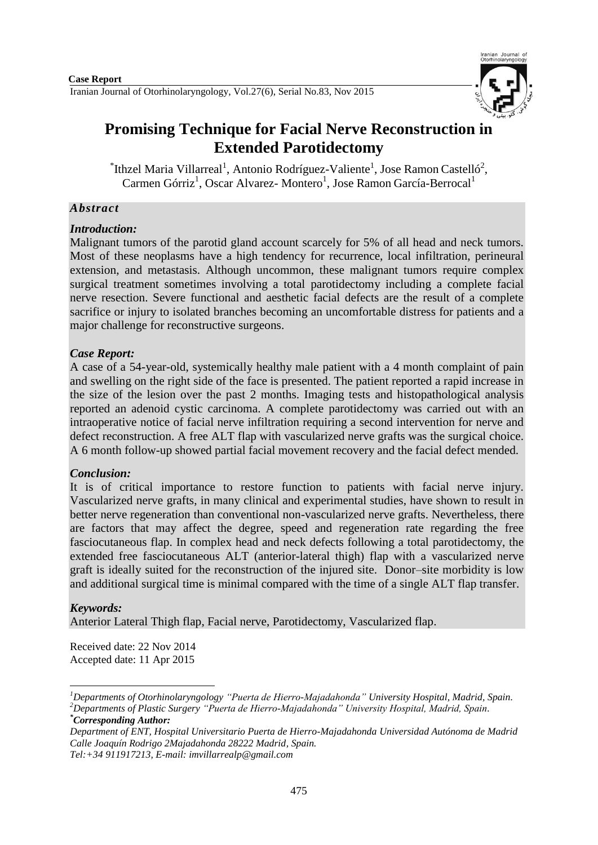

# **Promising Technique for Facial Nerve Reconstruction in Extended Parotidectomy**

 $\mathrm{[Thzel \, Maria \, Villarreal}^1$ , Antonio Rodríguez-Valiente<sup>1</sup>, Jose Ramon Castelló<sup>2</sup>, Carmen Górriz<sup>1</sup>, Oscar Alvarez-Montero<sup>1</sup>, Jose Ramon García-Berrocal<sup>1</sup>

## *Abstract*

## *Introduction:*

Malignant tumors of the parotid gland account scarcely for 5% of all head and neck tumors. Most of these neoplasms have a high tendency for recurrence, local infiltration, perineural extension, and metastasis. Although uncommon, these malignant tumors require complex surgical treatment sometimes involving a total parotidectomy including a complete facial nerve resection. Severe functional and aesthetic facial defects are the result of a complete sacrifice or injury to isolated branches becoming an uncomfortable distress for patients and a major challenge for reconstructive surgeons.

## *Case Report:*

A case of a 54-year-old, systemically healthy male patient with a 4 month complaint of pain and swelling on the right side of the face is presented. The patient reported a rapid increase in the size of the lesion over the past 2 months. Imaging tests and histopathological analysis reported an adenoid cystic carcinoma. A complete parotidectomy was carried out with an intraoperative notice of facial nerve infiltration requiring a second intervention for nerve and defect reconstruction. A free ALT flap with vascularized nerve grafts was the surgical choice. A 6 month follow-up showed partial facial movement recovery and the facial defect mended.

## *Conclusion:*

It is of critical importance to restore function to patients with facial nerve injury. Vascularized nerve grafts, in many clinical and experimental studies, have shown to result in better nerve regeneration than conventional non-vascularized nerve grafts. Nevertheless, there are factors that may affect the degree, speed and regeneration rate regarding the free fasciocutaneous flap. In complex head and neck defects following a total parotidectomy, the extended free fasciocutaneous ALT (anterior-lateral thigh) flap with a vascularized nerve graft is ideally suited for the reconstruction of the injured site. Donor–site morbidity is low and additional surgical time is minimal compared with the time of a single ALT flap transfer.

#### *Keywords:*

1

Anterior Lateral Thigh flap, Facial nerve, Parotidectomy, Vascularized flap.

Received date: 22 Nov 2014 Accepted date: 11 Apr 2015

*Tel:+34 911917213, E-mail: imvillarrealp@gmail.com* 

*<sup>1</sup>Departments of Otorhinolaryngology "Puerta de Hierro-Majadahonda" University Hospital, Madrid, Spain. <sup>2</sup>Departments of Plastic Surgery "Puerta de Hierro-Majadahonda" University Hospital, Madrid, Spain. \*Corresponding Author:*

*Department of ENT, Hospital Universitario Puerta de Hierro-Majadahonda Universidad Autónoma de Madrid Calle Joaquín Rodrigo 2Majadahonda 28222 Madrid, Spain.*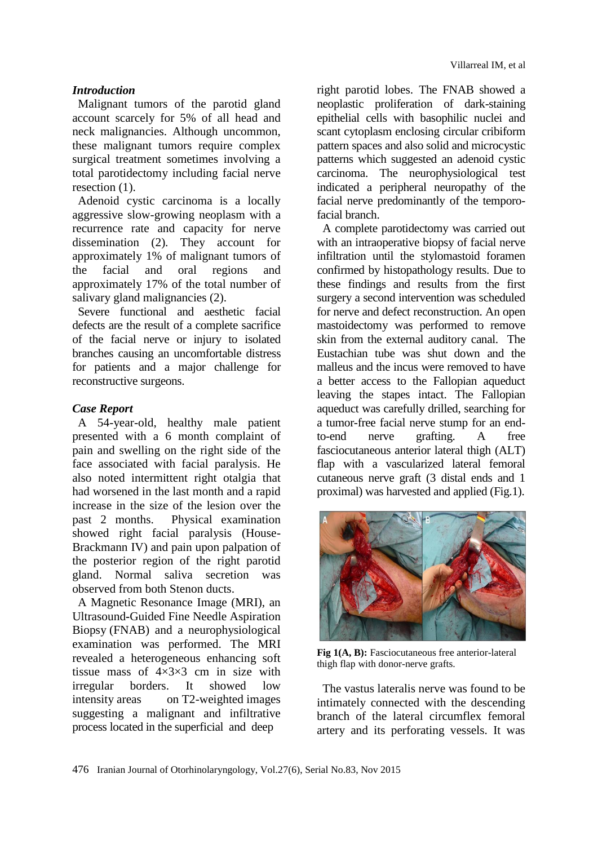## *Introduction*

Malignant tumors of the parotid gland account scarcely for 5% of all head and neck malignancies. Although uncommon, these malignant tumors require complex surgical treatment sometimes involving a total parotidectomy including facial nerve resection  $(1)$ .

Adenoid cystic carcinoma is a locally aggressive slow-growing neoplasm with a recurrence rate and capacity for nerve dissemination (2). They account for approximately 1% of malignant tumors of the facial and oral regions and approximately 17% of the total number of salivary gland malignancies (2).

Severe functional and aesthetic facial defects are the result of a complete sacrifice of the facial nerve or injury to isolated branches causing an uncomfortable distress for patients and a major challenge for reconstructive surgeons.

## *Case Report*

A 54-year-old, healthy male patient presented with a 6 month complaint of pain and swelling on the right side of the face associated with facial paralysis. He also noted intermittent right otalgia that had worsened in the last month and a rapid increase in the size of the lesion over the past 2 months. Physical examination showed right facial paralysis (House-Brackmann IV) and pain upon palpation of the posterior region of the right parotid gland. Normal saliva secretion was observed from both Stenon ducts.

A Magnetic Resonance Image (MRI), an Ultrasound**-**Guided Fine Needle Aspiration Biopsy (FNAB) and a neurophysiological examination was performed. The MRI revealed a heterogeneous enhancing soft tissue mass of  $4 \times 3 \times 3$  cm in size with irregular borders. It showed low intensity areas on T2-weighted images suggesting a malignant and infiltrative process located in the superficial and deep

right parotid lobes. The FNAB showed a neoplastic proliferation of dark-staining epithelial cells with basophilic nuclei and scant cytoplasm enclosing circular cribiform pattern spaces and also solid and microcystic patterns which suggested an adenoid cystic carcinoma. The neurophysiological test indicated a peripheral neuropathy of the facial nerve predominantly of the temporofacial branch.

A complete parotidectomy was carried out with an intraoperative biopsy of facial nerve infiltration until the stylomastoid foramen confirmed by histopathology results. Due to these findings and results from the first surgery a second intervention was scheduled for nerve and defect reconstruction. An open mastoidectomy was performed to remove skin from the external auditory canal. The Eustachian tube was shut down and the malleus and the incus were removed to have a better access to the Fallopian aqueduct leaving the stapes intact. The Fallopian aqueduct was carefully drilled, searching for a tumor-free facial nerve stump for an endto-end nerve grafting. A free fasciocutaneous anterior lateral thigh (ALT) flap with a vascularized lateral femoral cutaneous nerve graft (3 distal ends and 1 proximal) was harvested and applied (Fig.1).



**Fig 1(A, B):** Fasciocutaneous free anterior-lateral thigh flap with donor-nerve grafts.

The vastus lateralis nerve was found to be intimately connected with the descending branch of the lateral circumflex femoral artery and its perforating vessels. It was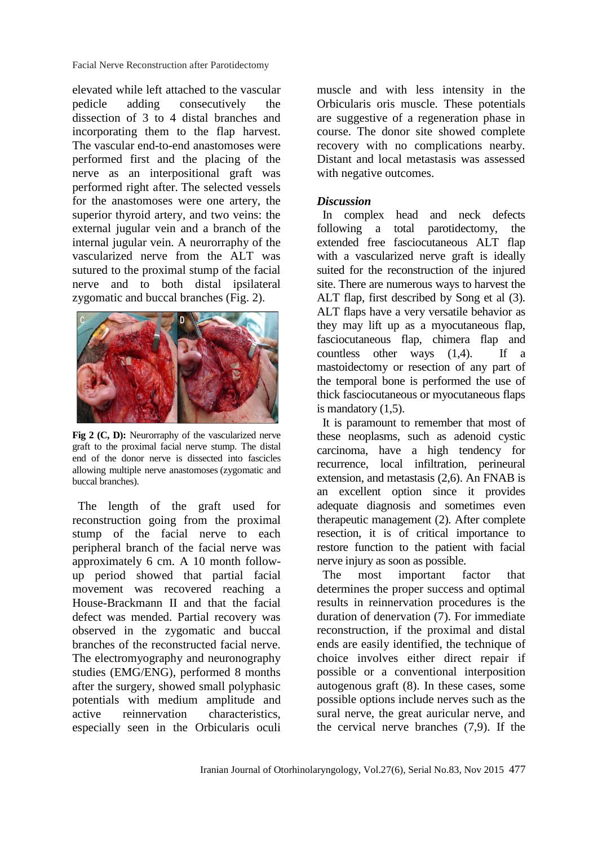Facial Nerve Reconstruction after Parotidectomy

elevated while left attached to the vascular pedicle adding consecutively the dissection of 3 to 4 distal branches and incorporating them to the flap harvest. The vascular end-to-end anastomoses were performed first and the placing of the nerve as an interpositional graft was performed right after. The selected vessels for the anastomoses were one artery, the superior thyroid artery, and two veins: the external jugular vein and a branch of the internal jugular vein. A neurorraphy of the vascularized nerve from the ALT was sutured to the proximal stump of the facial nerve and to both distal ipsilateral zygomatic and buccal branches (Fig. 2).



Fig 2 (C, D): Neurorraphy of the vascularized nerve graft to the proximal facial nerve stump. The distal end of the donor nerve is dissected into fascicles allowing multiple nerve anastomoses (zygomatic and buccal branches).

The length of the graft used for reconstruction going from the proximal stump of the facial nerve to each peripheral branch of the facial nerve was approximately 6 cm. A 10 month followup period showed that partial facial movement was recovered reaching a House-Brackmann II and that the facial defect was mended. Partial recovery was observed in the zygomatic and buccal branches of the reconstructed facial nerve. The electromyography and neuronography studies (EMG/ENG), performed 8 months after the surgery, showed small polyphasic potentials with medium amplitude and active reinnervation characteristics, especially seen in the [Orbicularis oculi](http://www.google.es/url?url=http://en.wikipedia.org/wiki/Orbicularis_oculi_muscle&rct=j&frm=1&q=&esrc=s&sa=U&ei=6JfcVKqIDsuvU6ingqAJ&ved=0CBoQFjAB&usg=AFQjCNHeLLwET4meiIzhsukXWxkBiy4zYA) 

[muscle a](http://www.google.es/url?url=http://en.wikipedia.org/wiki/Orbicularis_oculi_muscle&rct=j&frm=1&q=&esrc=s&sa=U&ei=6JfcVKqIDsuvU6ingqAJ&ved=0CBoQFjAB&usg=AFQjCNHeLLwET4meiIzhsukXWxkBiy4zYA)nd with less intensity in the Orbicularis oris muscle. These potentials are suggestive of a regeneration phase in course. The donor site showed complete recovery with no complications nearby. Distant and local metastasis was assessed with negative outcomes.

#### *Discussion*

In complex head and neck defects following a total parotidectomy, the extended free fasciocutaneous ALT flap with a vascularized nerve graft is ideally suited for the reconstruction of the injured site. There are numerous ways to harvest the ALT flap, first described by Song et al (3). ALT flaps have a very versatile behavior as they may lift up as a myocutaneous flap, fasciocutaneous flap, chimera flap and countless other ways (1,4). If a mastoidectomy or resection of any part of the temporal bone is performed the use of thick fasciocutaneous or myocutaneous flaps is mandatory (1,5).

It is paramount to remember that most of these neoplasms, such as adenoid cystic carcinoma, have a high tendency for recurrence, local infiltration, perineural extension, and metastasis (2,6). An FNAB is an excellent option since it provides adequate diagnosis and sometimes even therapeutic management (2). After complete resection, it is of critical importance to restore function to the patient with facial nerve injury as soon as possible.

The most important factor that determines the proper success and optimal results in reinnervation procedures is the duration of denervation (7). For immediate reconstruction, if the proximal and distal ends are easily identified, the technique of choice involves either direct repair if possible or a conventional interposition autogenous graft (8). In these cases, some possible options include nerves such as the sural nerve, the great auricular nerve, and the cervical nerve branches (7,9). If the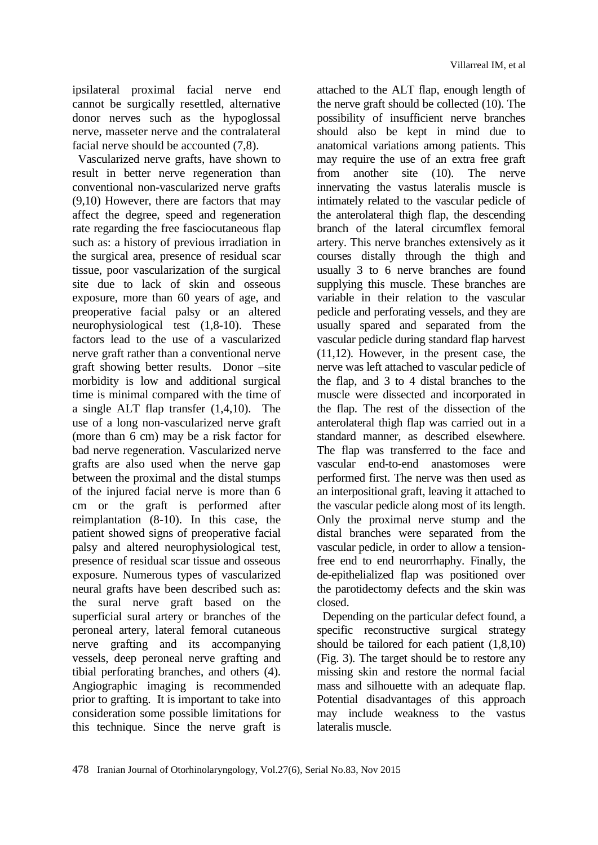ipsilateral proximal facial nerve end cannot be surgically resettled, alternative donor nerves such as the hypoglossal nerve, masseter nerve and the contralateral facial nerve should be accounted (7,8).

Vascularized nerve grafts, have shown to result in better nerve regeneration than conventional non-vascularized nerve grafts (9,10) However, there are factors that may affect the degree, speed and regeneration rate regarding the free fasciocutaneous flap such as: a history of previous irradiation in the surgical area, presence of residual scar tissue, poor vascularization of the surgical site due to lack of skin and osseous exposure, more than 60 years of age, and preoperative facial palsy or an altered neurophysiological test (1,8-10). These factors lead to the use of a vascularized nerve graft rather than a conventional nerve graft showing better results. Donor –site morbidity is low and additional surgical time is minimal compared with the time of a single ALT flap transfer (1,4,10). The use of a long non-vascularized nerve graft (more than 6 cm) may be a risk factor for bad nerve regeneration. Vascularized nerve grafts are also used when the nerve gap between the proximal and the distal stumps of the injured facial nerve is more than 6 cm or the graft is performed after reimplantation (8-10). In this case, the patient showed signs of preoperative facial palsy and altered neurophysiological test, presence of residual scar tissue and osseous exposure. Numerous types of vascularized neural grafts have been described such as: the sural nerve graft based on the superficial sural artery or branches of the peroneal artery, lateral femoral cutaneous nerve grafting and its accompanying vessels, deep peroneal nerve grafting and tibial perforating branches, and others (4). Angiographic imaging is recommended prior to grafting. It is important to take into consideration some possible limitations for this technique. Since the nerve graft is

attached to the ALT flap, enough length of the nerve graft should be collected (10). The possibility of insufficient nerve branches should also be kept in mind due to anatomical variations among patients. This may require the use of an extra free graft<br>from another site (10). The nerve from another site  $(10)$ . innervating the vastus lateralis muscle is intimately related to the vascular pedicle of the anterolateral thigh flap, the descending branch of the lateral circumflex femoral artery. This nerve branches extensively as it courses distally through the thigh and usually 3 to 6 nerve branches are found supplying this muscle. These branches are variable in their relation to the vascular pedicle and perforating vessels, and they are usually spared and separated from the vascular pedicle during standard flap harvest (11,12). However, in the present case, the nerve was left attached to vascular pedicle of the flap, and 3 to 4 distal branches to the muscle were dissected and incorporated in the flap. The rest of the dissection of the anterolateral thigh flap was carried out in a standard manner, as described elsewhere. The flap was transferred to the face and vascular end-to-end anastomoses were performed first. The nerve was then used as an interpositional graft, leaving it attached to the vascular pedicle along most of its length. Only the proximal nerve stump and the distal branches were separated from the vascular pedicle, in order to allow a tensionfree end to end neurorrhaphy. Finally, the de-epithelialized flap was positioned over the parotidectomy defects and the skin was closed.

Depending on the particular defect found, a specific reconstructive surgical strategy should be tailored for each patient (1,8,10) (Fig. 3). The target should be to restore any missing skin and restore the normal facial mass and silhouette with an adequate flap. Potential disadvantages of this approach may include weakness to the vastus lateralis muscle.